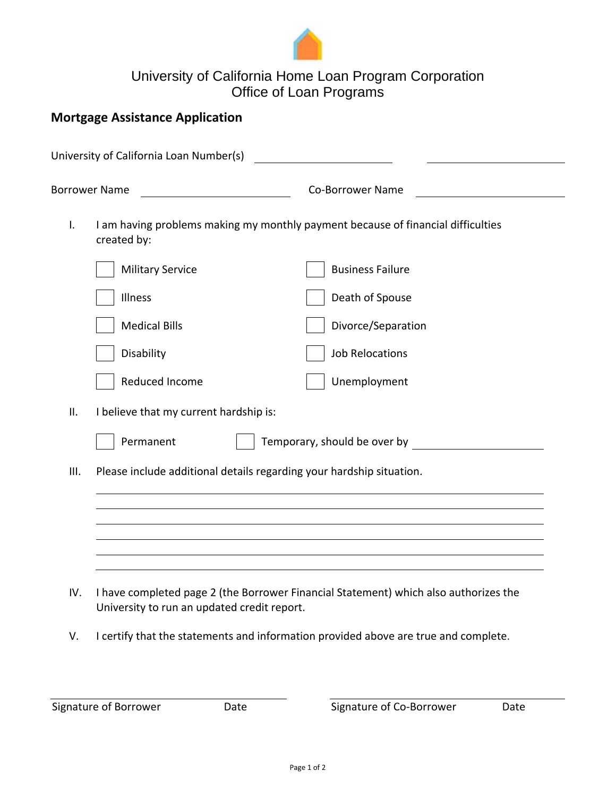

## University of California Home Loan Program Corporation Office of Loan Programs

## **Mortgage Assistance Application**

|      | University of California Loan Number(s)                                             |                                                                                      |  |  |  |  |  |  |
|------|-------------------------------------------------------------------------------------|--------------------------------------------------------------------------------------|--|--|--|--|--|--|
|      | <b>Borrower Name</b>                                                                | <b>Co-Borrower Name</b>                                                              |  |  |  |  |  |  |
| I.   | I am having problems making my monthly payment because of financial difficulties    |                                                                                      |  |  |  |  |  |  |
|      | <b>Military Service</b>                                                             | <b>Business Failure</b>                                                              |  |  |  |  |  |  |
|      | Illness                                                                             | Death of Spouse                                                                      |  |  |  |  |  |  |
|      | <b>Medical Bills</b>                                                                | Divorce/Separation                                                                   |  |  |  |  |  |  |
|      | Disability                                                                          | <b>Job Relocations</b>                                                               |  |  |  |  |  |  |
|      | Reduced Income                                                                      | Unemployment                                                                         |  |  |  |  |  |  |
| ΙΙ.  | I believe that my current hardship is:                                              |                                                                                      |  |  |  |  |  |  |
|      | Permanent<br>Temporary, should be over by                                           |                                                                                      |  |  |  |  |  |  |
| III. |                                                                                     | Please include additional details regarding your hardship situation.                 |  |  |  |  |  |  |
|      |                                                                                     |                                                                                      |  |  |  |  |  |  |
|      |                                                                                     |                                                                                      |  |  |  |  |  |  |
|      |                                                                                     |                                                                                      |  |  |  |  |  |  |
| IV.  | University to run an updated credit report.                                         | I have completed page 2 (the Borrower Financial Statement) which also authorizes the |  |  |  |  |  |  |
| V.   | I certify that the statements and information provided above are true and complete. |                                                                                      |  |  |  |  |  |  |